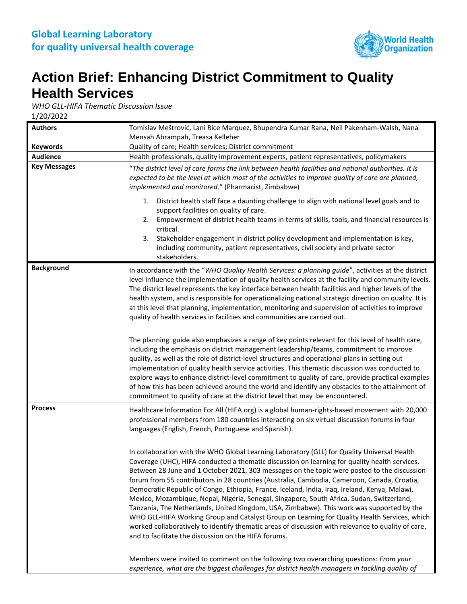

## **Action Brief: Enhancing District Commitment to Quality Health Services**

*WHO GLL-HIFA Thematic Discussion Issue*

1/20/2022

| <b>Authors</b>      | Tomislav Meštrović, Lani Rice Marquez, Bhupendra Kumar Rana, Neil Pakenham-Walsh, Nana<br>Mensah Abrampah, Treasa Kelleher                                                                                                                                                                                                                                                                                                                                                                                                                                                                                                                                                                                                                                                                                                                                                                                                                          |
|---------------------|-----------------------------------------------------------------------------------------------------------------------------------------------------------------------------------------------------------------------------------------------------------------------------------------------------------------------------------------------------------------------------------------------------------------------------------------------------------------------------------------------------------------------------------------------------------------------------------------------------------------------------------------------------------------------------------------------------------------------------------------------------------------------------------------------------------------------------------------------------------------------------------------------------------------------------------------------------|
| <b>Keywords</b>     | Quality of care; Health services; District commitment                                                                                                                                                                                                                                                                                                                                                                                                                                                                                                                                                                                                                                                                                                                                                                                                                                                                                               |
| <b>Audience</b>     | Health professionals, quality improvement experts, patient representatives, policymakers                                                                                                                                                                                                                                                                                                                                                                                                                                                                                                                                                                                                                                                                                                                                                                                                                                                            |
| <b>Key Messages</b> | "The district level of care forms the link between health facilities and national authorities. It is<br>expected to be the level at which most of the activities to improve quality of care are planned,<br>implemented and monitored." (Pharmacist, Zimbabwe)                                                                                                                                                                                                                                                                                                                                                                                                                                                                                                                                                                                                                                                                                      |
|                     | 1. District health staff face a daunting challenge to align with national level goals and to<br>support facilities on quality of care.<br>Empowerment of district health teams in terms of skills, tools, and financial resources is<br>2.<br>critical.<br>Stakeholder engagement in district policy development and implementation is key,<br>3.<br>including community, patient representatives, civil society and private sector<br>stakeholders.                                                                                                                                                                                                                                                                                                                                                                                                                                                                                                |
| <b>Background</b>   | In accordance with the "WHO Quality Health Services: a planning guide", activities at the district<br>level influence the implementation of quality health services at the facility and community levels.<br>The district level represents the key interface between health facilities and higher levels of the<br>health system, and is responsible for operationalizing national strategic direction on quality. It is<br>at this level that planning, implementation, monitoring and supervision of activities to improve<br>quality of health services in facilities and communities are carried out.                                                                                                                                                                                                                                                                                                                                           |
|                     | The planning guide also emphasizes a range of key points relevant for this level of health care,<br>including the emphasis on district management leadership/teams, commitment to improve<br>quality, as well as the role of district-level structures and operational plans in setting out<br>implementation of quality health service activities. This thematic discussion was conducted to<br>explore ways to enhance district-level commitment to quality of care, provide practical examples<br>of how this has been achieved around the world and identify any obstacles to the attainment of<br>commitment to quality of care at the district level that may be encountered.                                                                                                                                                                                                                                                                 |
| <b>Process</b>      | Healthcare Information For All (HIFA.org) is a global human-rights-based movement with 20,000<br>professional members from 180 countries interacting on six virtual discussion forums in four<br>languages (English, French, Portuguese and Spanish).                                                                                                                                                                                                                                                                                                                                                                                                                                                                                                                                                                                                                                                                                               |
|                     | In collaboration with the WHO Global Learning Laboratory (GLL) for Quality Universal Health<br>Coverage (UHC), HIFA conducted a thematic discussion on learning for quality health services.<br>Between 28 June and 1 October 2021, 303 messages on the topic were posted to the discussion<br>forum from 55 contributors in 28 countries (Australia, Cambodia, Cameroon, Canada, Croatia,<br>Democratic Republic of Congo, Ethiopia, France, Iceland, India, Iraq, Ireland, Kenya, Malawi,<br>Mexico, Mozambique, Nepal, Nigeria, Senegal, Singapore, South Africa, Sudan, Switzerland,<br>Tanzania, The Netherlands, United Kingdom, USA, Zimbabwe). This work was supported by the<br>WHO GLL-HIFA Working Group and Catalyst Group on Learning for Quality Health Services, which<br>worked collaboratively to identify thematic areas of discussion with relevance to quality of care,<br>and to facilitate the discussion on the HIFA forums. |
|                     | Members were invited to comment on the following two overarching questions: From your<br>experience, what are the biggest challenges for district health managers in tackling quality of                                                                                                                                                                                                                                                                                                                                                                                                                                                                                                                                                                                                                                                                                                                                                            |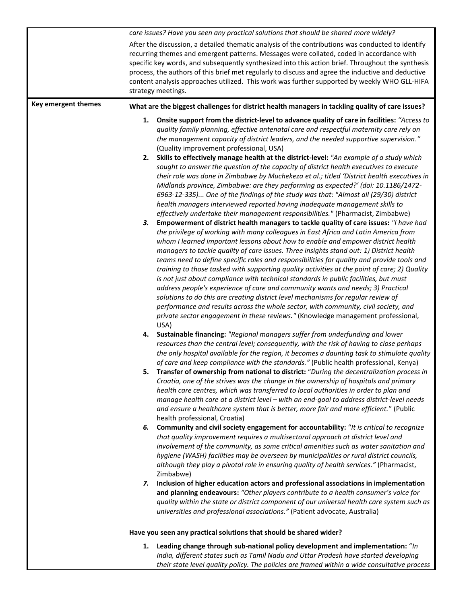|                     | care issues? Have you seen any practical solutions that should be shared more widely?                                                                                                                                                                                                                                                                                                                                                                                                                                                                                                                                                                                                                                                                                                                                                                                                                                                                                                                                                                                                                                                                                                                                                                                                                                                                                                                                                                                                                                                                                                                                                                                                                                                                                                                                                                                                                                                                                                                                                                                                                                                                                                                                                                                                                                                                                 |
|---------------------|-----------------------------------------------------------------------------------------------------------------------------------------------------------------------------------------------------------------------------------------------------------------------------------------------------------------------------------------------------------------------------------------------------------------------------------------------------------------------------------------------------------------------------------------------------------------------------------------------------------------------------------------------------------------------------------------------------------------------------------------------------------------------------------------------------------------------------------------------------------------------------------------------------------------------------------------------------------------------------------------------------------------------------------------------------------------------------------------------------------------------------------------------------------------------------------------------------------------------------------------------------------------------------------------------------------------------------------------------------------------------------------------------------------------------------------------------------------------------------------------------------------------------------------------------------------------------------------------------------------------------------------------------------------------------------------------------------------------------------------------------------------------------------------------------------------------------------------------------------------------------------------------------------------------------------------------------------------------------------------------------------------------------------------------------------------------------------------------------------------------------------------------------------------------------------------------------------------------------------------------------------------------------------------------------------------------------------------------------------------------------|
|                     | After the discussion, a detailed thematic analysis of the contributions was conducted to identify<br>recurring themes and emergent patterns. Messages were collated, coded in accordance with<br>specific key words, and subsequently synthesized into this action brief. Throughout the synthesis<br>process, the authors of this brief met regularly to discuss and agree the inductive and deductive<br>content analysis approaches utilized. This work was further supported by weekly WHO GLL-HIFA<br>strategy meetings.                                                                                                                                                                                                                                                                                                                                                                                                                                                                                                                                                                                                                                                                                                                                                                                                                                                                                                                                                                                                                                                                                                                                                                                                                                                                                                                                                                                                                                                                                                                                                                                                                                                                                                                                                                                                                                         |
| Key emergent themes | What are the biggest challenges for district health managers in tackling quality of care issues?                                                                                                                                                                                                                                                                                                                                                                                                                                                                                                                                                                                                                                                                                                                                                                                                                                                                                                                                                                                                                                                                                                                                                                                                                                                                                                                                                                                                                                                                                                                                                                                                                                                                                                                                                                                                                                                                                                                                                                                                                                                                                                                                                                                                                                                                      |
|                     | Onsite support from the district-level to advance quality of care in facilities: "Access to<br>1.<br>quality family planning, effective antenatal care and respectful maternity care rely on<br>the management capacity of district leaders, and the needed supportive supervision."<br>(Quality improvement professional, USA)<br>2. Skills to effectively manage health at the district-level: "An example of a study which<br>sought to answer the question of the capacity of district health executives to execute<br>their role was done in Zimbabwe by Muchekeza et al.; titled 'District health executives in<br>Midlands province, Zimbabwe: are they performing as expected?' (doi: 10.1186/1472-<br>6963-12-335) One of the findings of the study was that: "Almost all (29/30) district<br>health managers interviewed reported having inadequate management skills to<br>effectively undertake their management responsibilities." (Pharmacist, Zimbabwe)<br>3.<br>Empowerment of district health managers to tackle quality of care issues: "I have had<br>the privilege of working with many colleagues in East Africa and Latin America from<br>whom I learned important lessons about how to enable and empower district health<br>managers to tackle quality of care issues. Three insights stand out: 1) District health<br>teams need to define specific roles and responsibilities for quality and provide tools and<br>training to those tasked with supporting quality activities at the point of care; 2) Quality<br>is not just about compliance with technical standards in public facilities, but must<br>address people's experience of care and community wants and needs; 3) Practical<br>solutions to do this are creating district level mechanisms for regular review of<br>performance and results across the whole sector, with community, civil society, and<br>private sector engagement in these reviews." (Knowledge management professional,<br>USA)<br>Sustainable financing: "Regional managers suffer from underfunding and lower<br>4.<br>resources than the central level; consequently, with the risk of having to close perhaps<br>the only hospital available for the region, it becomes a daunting task to stimulate quality<br>of care and keep compliance with the standards." (Public health professional, Kenya) |
|                     | 5.<br>Transfer of ownership from national to district: "During the decentralization process in<br>Croatia, one of the strives was the change in the ownership of hospitals and primary<br>health care centres, which was transferred to local authorities in order to plan and<br>manage health care at a district level - with an end-goal to address district-level needs<br>and ensure a healthcare system that is better, more fair and more efficient." (Public<br>health professional, Croatia)                                                                                                                                                                                                                                                                                                                                                                                                                                                                                                                                                                                                                                                                                                                                                                                                                                                                                                                                                                                                                                                                                                                                                                                                                                                                                                                                                                                                                                                                                                                                                                                                                                                                                                                                                                                                                                                                 |
|                     | Community and civil society engagement for accountability: "It is critical to recognize<br>6.<br>that quality improvement requires a multisectoral approach at district level and<br>involvement of the community, as some critical amenities such as water sanitation and<br>hygiene (WASH) facilities may be overseen by municipalities or rural district councils,<br>although they play a pivotal role in ensuring quality of health services." (Pharmacist,<br>Zimbabwe)                                                                                                                                                                                                                                                                                                                                                                                                                                                                                                                                                                                                                                                                                                                                                                                                                                                                                                                                                                                                                                                                                                                                                                                                                                                                                                                                                                                                                                                                                                                                                                                                                                                                                                                                                                                                                                                                                         |
|                     | Inclusion of higher education actors and professional associations in implementation<br>7.<br>and planning endeavours: "Other players contribute to a health consumer's voice for<br>quality within the state or district component of our universal health care system such as<br>universities and professional associations." (Patient advocate, Australia)                                                                                                                                                                                                                                                                                                                                                                                                                                                                                                                                                                                                                                                                                                                                                                                                                                                                                                                                                                                                                                                                                                                                                                                                                                                                                                                                                                                                                                                                                                                                                                                                                                                                                                                                                                                                                                                                                                                                                                                                         |
|                     | Have you seen any practical solutions that should be shared wider?                                                                                                                                                                                                                                                                                                                                                                                                                                                                                                                                                                                                                                                                                                                                                                                                                                                                                                                                                                                                                                                                                                                                                                                                                                                                                                                                                                                                                                                                                                                                                                                                                                                                                                                                                                                                                                                                                                                                                                                                                                                                                                                                                                                                                                                                                                    |
|                     | Leading change through sub-national policy development and implementation: "In<br>1.<br>India, different states such as Tamil Nadu and Uttar Pradesh have started developing                                                                                                                                                                                                                                                                                                                                                                                                                                                                                                                                                                                                                                                                                                                                                                                                                                                                                                                                                                                                                                                                                                                                                                                                                                                                                                                                                                                                                                                                                                                                                                                                                                                                                                                                                                                                                                                                                                                                                                                                                                                                                                                                                                                          |
|                     | their state level quality policy. The policies are framed within a wide consultative process                                                                                                                                                                                                                                                                                                                                                                                                                                                                                                                                                                                                                                                                                                                                                                                                                                                                                                                                                                                                                                                                                                                                                                                                                                                                                                                                                                                                                                                                                                                                                                                                                                                                                                                                                                                                                                                                                                                                                                                                                                                                                                                                                                                                                                                                          |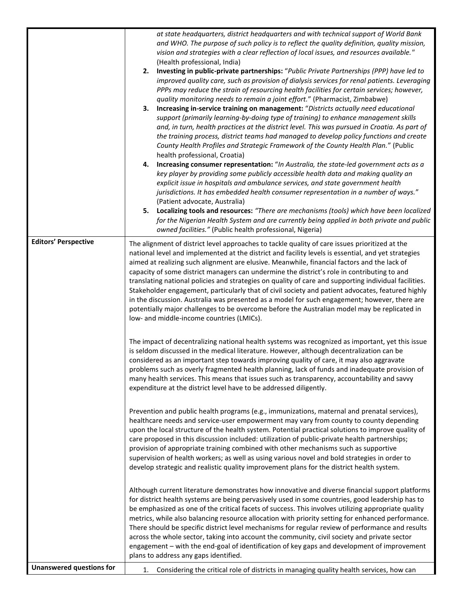|                                 | at state headquarters, district headquarters and with technical support of World Bank<br>and WHO. The purpose of such policy is to reflect the quality definition, quality mission,<br>vision and strategies with a clear reflection of local issues, and resources available."<br>(Health professional, India)<br>Investing in public-private partnerships: "Public Private Partnerships (PPP) have led to<br>2.<br>improved quality care, such as provision of dialysis services for renal patients. Leveraging<br>PPPs may reduce the strain of resourcing health facilities for certain services; however,<br>quality monitoring needs to remain a joint effort." (Pharmacist, Zimbabwe)<br>Increasing in-service training on management: "Districts actually need educational<br>3.<br>support (primarily learning-by-doing type of training) to enhance management skills<br>and, in turn, health practices at the district level. This was pursued in Croatia. As part of<br>the training process, district teams had managed to develop policy functions and create<br>County Health Profiles and Strategic Framework of the County Health Plan." (Public<br>health professional, Croatia)<br>Increasing consumer representation: "In Australia, the state-led government acts as a<br>4.<br>key player by providing some publicly accessible health data and making quality an<br>explicit issue in hospitals and ambulance services, and state government health<br>jurisdictions. It has embedded health consumer representation in a number of ways."<br>(Patient advocate, Australia)<br>5. Localizing tools and resources: "There are mechanisms (tools) which have been localized<br>for the Nigerian Health System and are currently being applied in both private and public<br>owned facilities." (Public health professional, Nigeria) |
|---------------------------------|-----------------------------------------------------------------------------------------------------------------------------------------------------------------------------------------------------------------------------------------------------------------------------------------------------------------------------------------------------------------------------------------------------------------------------------------------------------------------------------------------------------------------------------------------------------------------------------------------------------------------------------------------------------------------------------------------------------------------------------------------------------------------------------------------------------------------------------------------------------------------------------------------------------------------------------------------------------------------------------------------------------------------------------------------------------------------------------------------------------------------------------------------------------------------------------------------------------------------------------------------------------------------------------------------------------------------------------------------------------------------------------------------------------------------------------------------------------------------------------------------------------------------------------------------------------------------------------------------------------------------------------------------------------------------------------------------------------------------------------------------------------------------------------------------------------------------------------------------------------|
| <b>Editors' Perspective</b>     | The alignment of district level approaches to tackle quality of care issues prioritized at the<br>national level and implemented at the district and facility levels is essential, and yet strategies<br>aimed at realizing such alignment are elusive. Meanwhile, financial factors and the lack of<br>capacity of some district managers can undermine the district's role in contributing to and<br>translating national policies and strategies on quality of care and supporting individual facilities.<br>Stakeholder engagement, particularly that of civil society and patient advocates, featured highly<br>in the discussion. Australia was presented as a model for such engagement; however, there are<br>potentially major challenges to be overcome before the Australian model may be replicated in<br>low- and middle-income countries (LMICs).                                                                                                                                                                                                                                                                                                                                                                                                                                                                                                                                                                                                                                                                                                                                                                                                                                                                                                                                                                                           |
|                                 | The impact of decentralizing national health systems was recognized as important, yet this issue<br>is seldom discussed in the medical literature. However, although decentralization can be<br>considered as an important step towards improving quality of care, it may also aggravate<br>problems such as overly fragmented health planning, lack of funds and inadequate provision of<br>many health services. This means that issues such as transparency, accountability and savvy<br>expenditure at the district level have to be addressed diligently.                                                                                                                                                                                                                                                                                                                                                                                                                                                                                                                                                                                                                                                                                                                                                                                                                                                                                                                                                                                                                                                                                                                                                                                                                                                                                            |
|                                 | Prevention and public health programs (e.g., immunizations, maternal and prenatal services),<br>healthcare needs and service-user empowerment may vary from county to county depending<br>upon the local structure of the health system. Potential practical solutions to improve quality of<br>care proposed in this discussion included: utilization of public-private health partnerships;<br>provision of appropriate training combined with other mechanisms such as supportive<br>supervision of health workers; as well as using various novel and bold strategies in order to<br>develop strategic and realistic quality improvement plans for the district health system.                                                                                                                                                                                                                                                                                                                                                                                                                                                                                                                                                                                                                                                                                                                                                                                                                                                                                                                                                                                                                                                                                                                                                                        |
|                                 | Although current literature demonstrates how innovative and diverse financial support platforms<br>for district health systems are being pervasively used in some countries, good leadership has to<br>be emphasized as one of the critical facets of success. This involves utilizing appropriate quality<br>metrics, while also balancing resource allocation with priority setting for enhanced performance.<br>There should be specific district level mechanisms for regular review of performance and results<br>across the whole sector, taking into account the community, civil society and private sector<br>engagement - with the end-goal of identification of key gaps and development of improvement<br>plans to address any gaps identified.                                                                                                                                                                                                                                                                                                                                                                                                                                                                                                                                                                                                                                                                                                                                                                                                                                                                                                                                                                                                                                                                                               |
| <b>Unanswered questions for</b> | Considering the critical role of districts in managing quality health services, how can<br>1.                                                                                                                                                                                                                                                                                                                                                                                                                                                                                                                                                                                                                                                                                                                                                                                                                                                                                                                                                                                                                                                                                                                                                                                                                                                                                                                                                                                                                                                                                                                                                                                                                                                                                                                                                             |